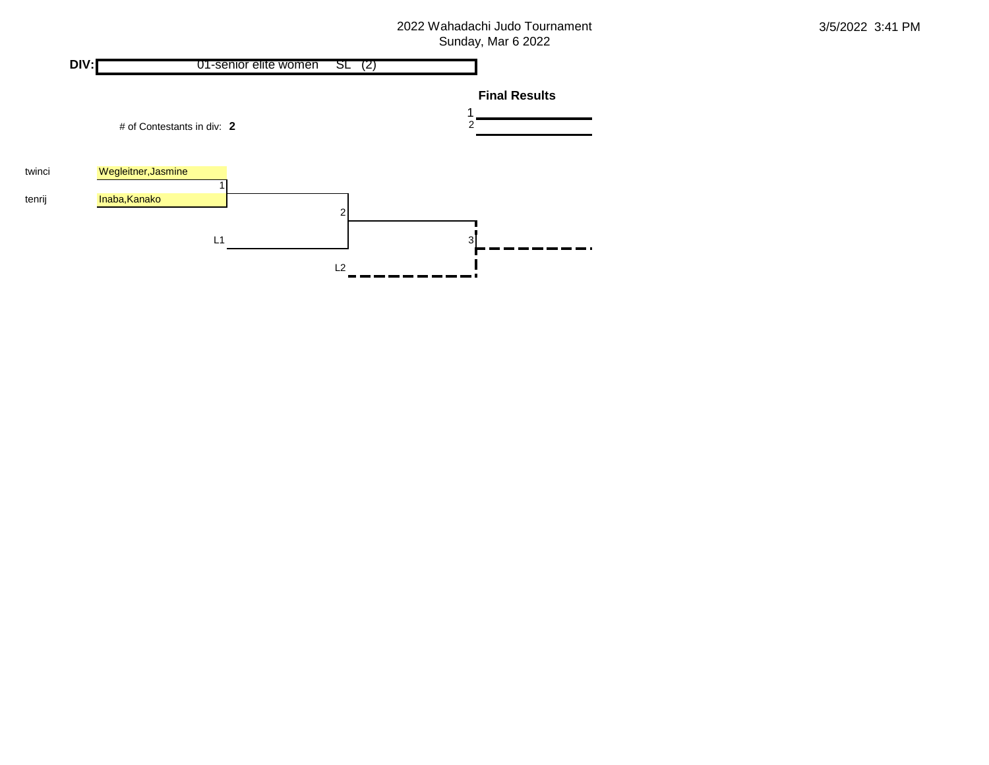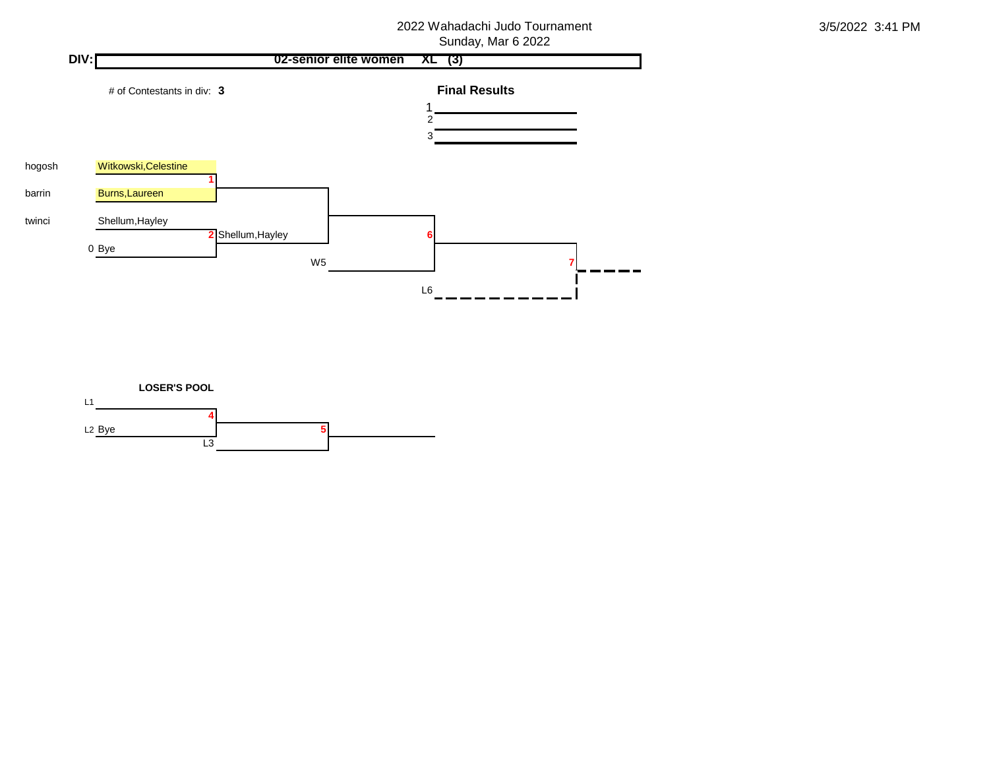

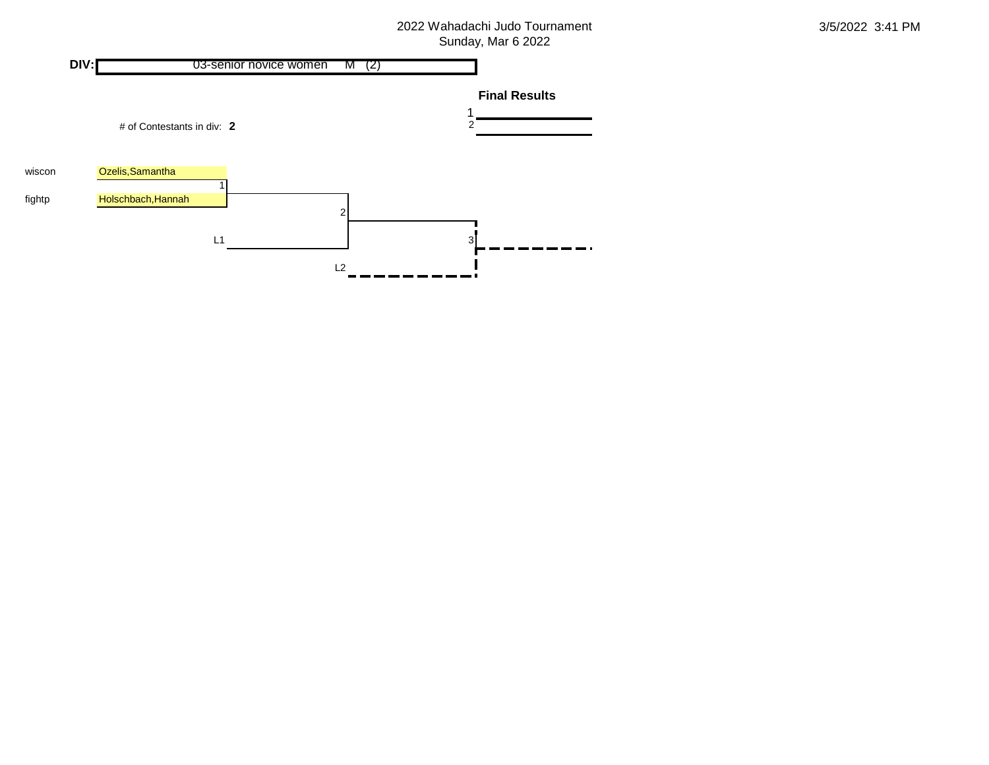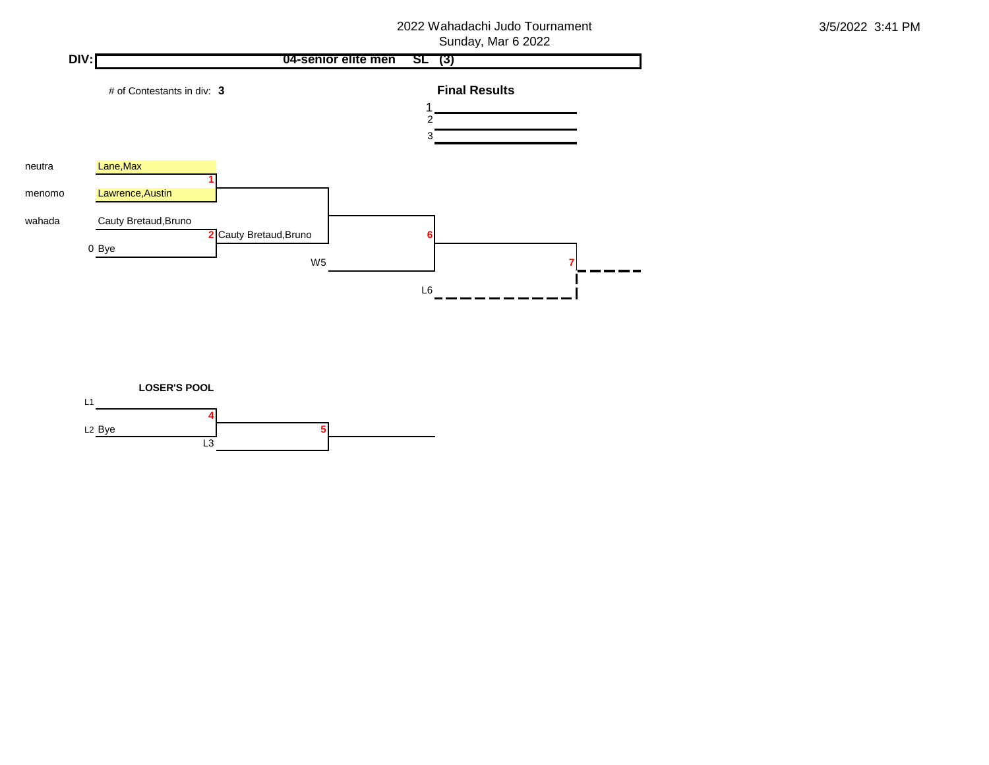

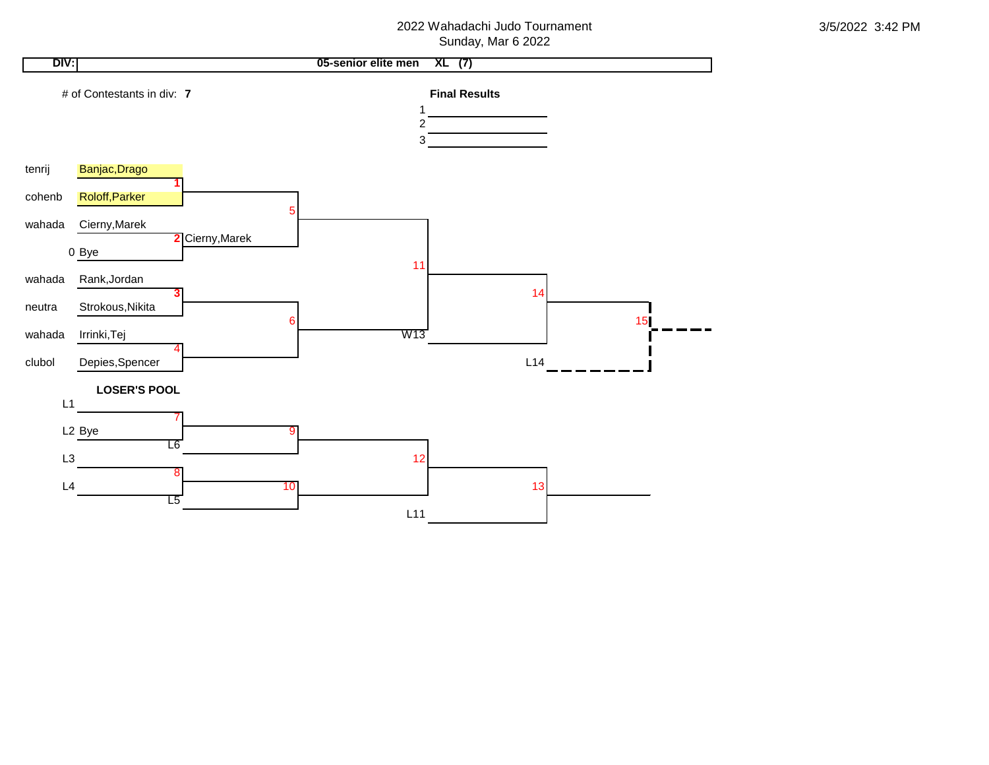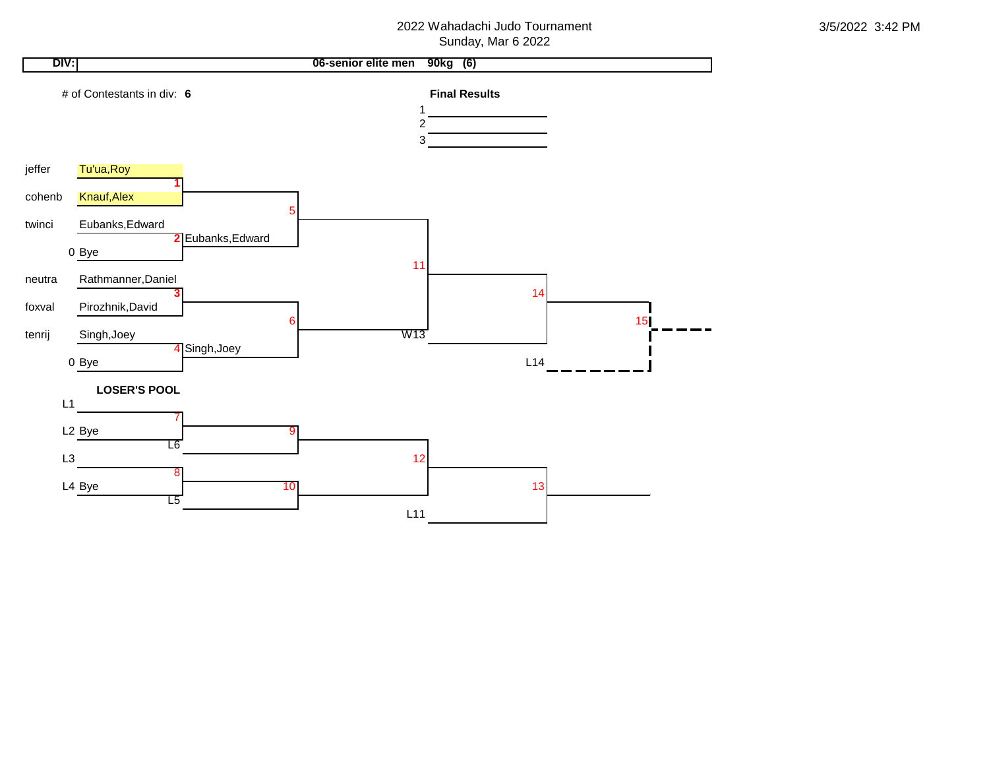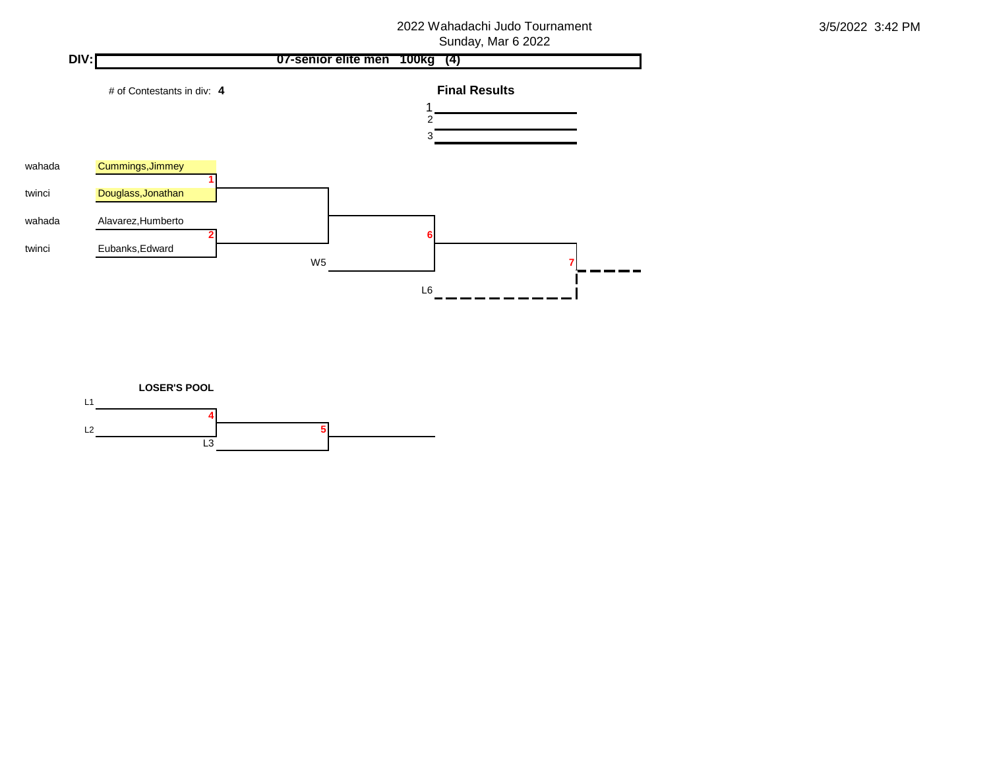

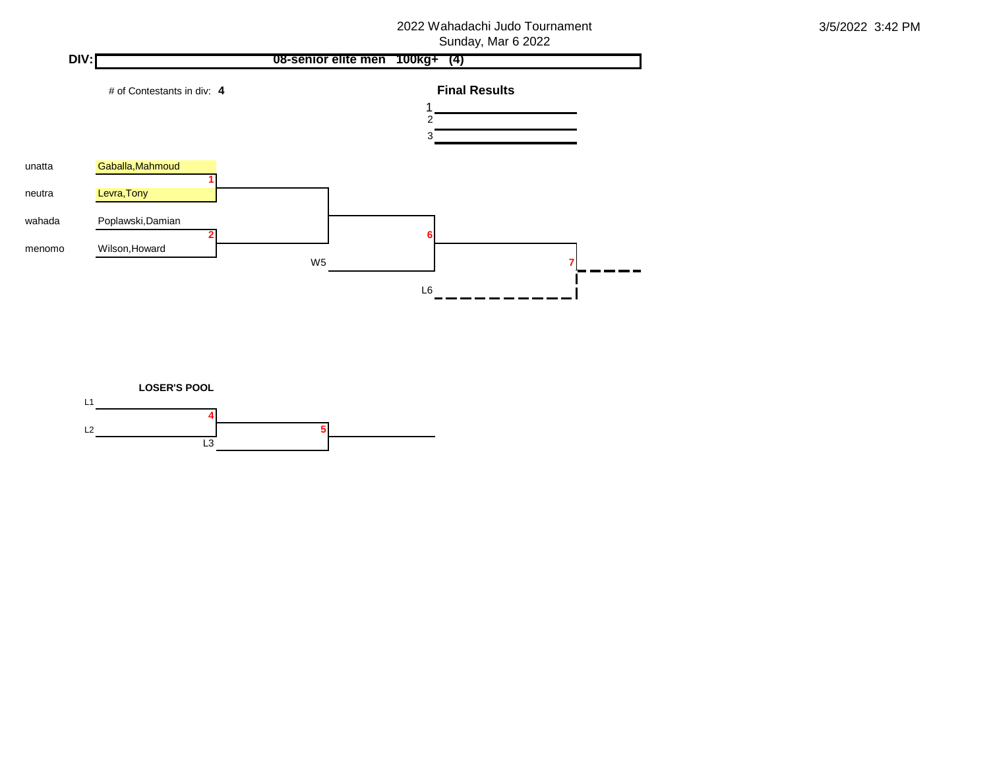

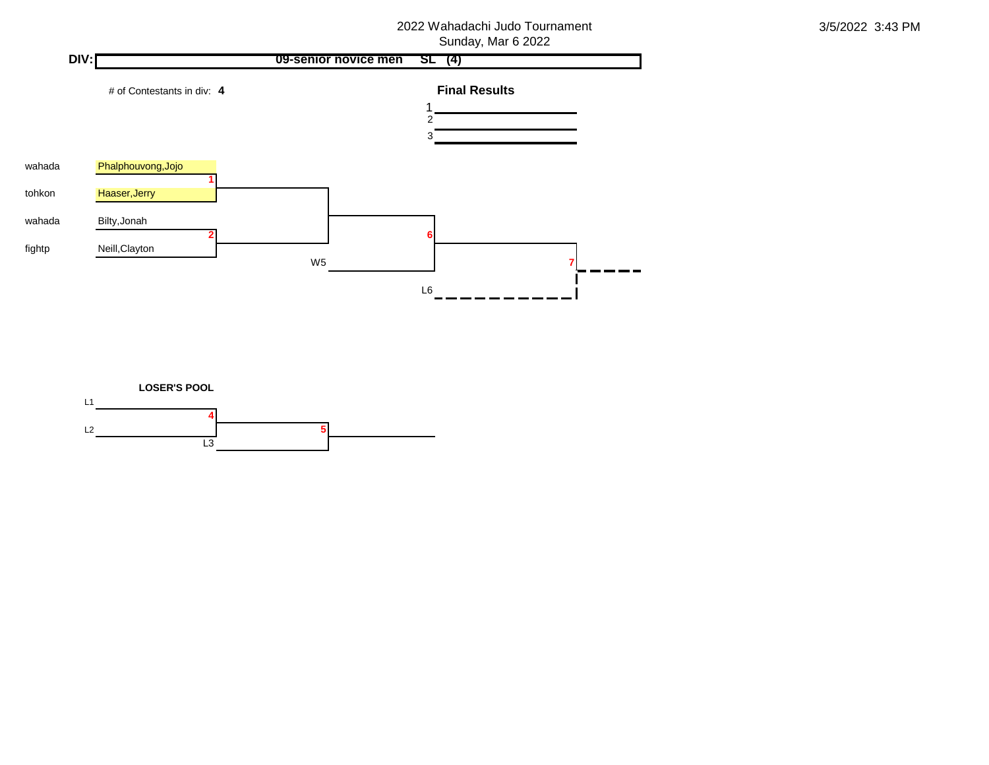

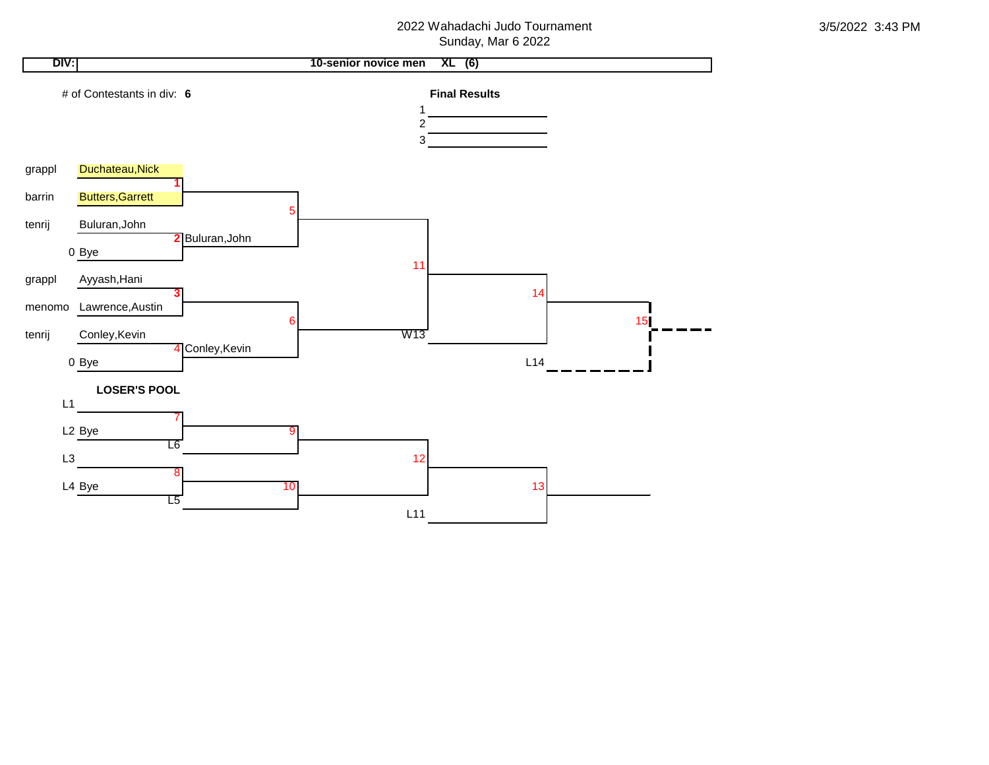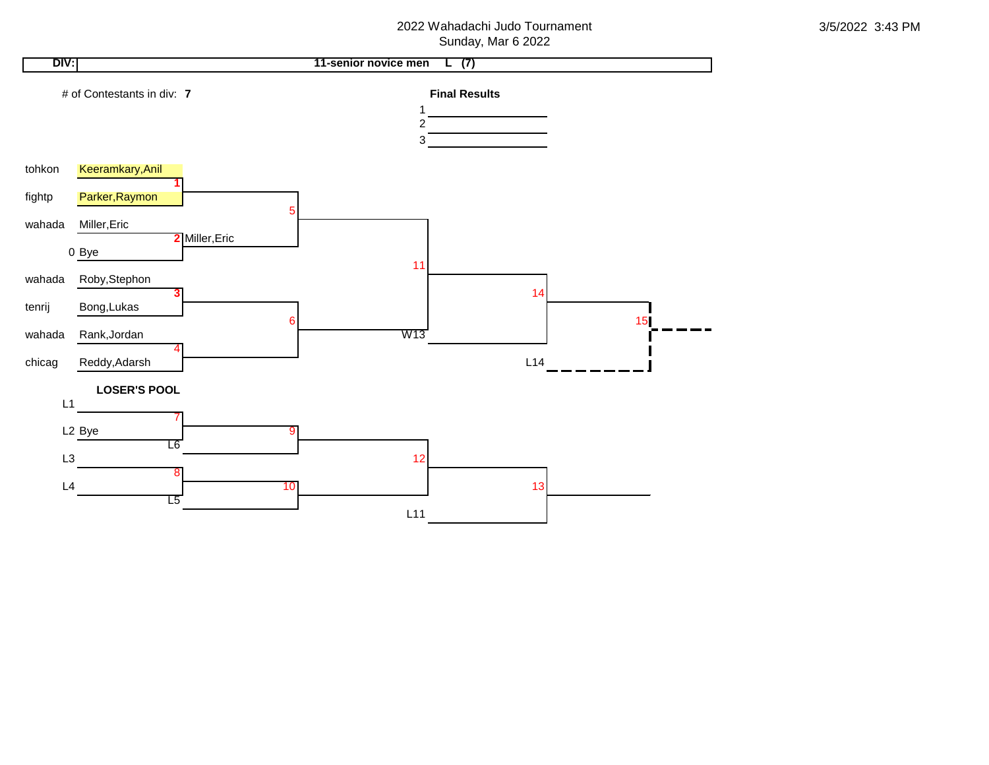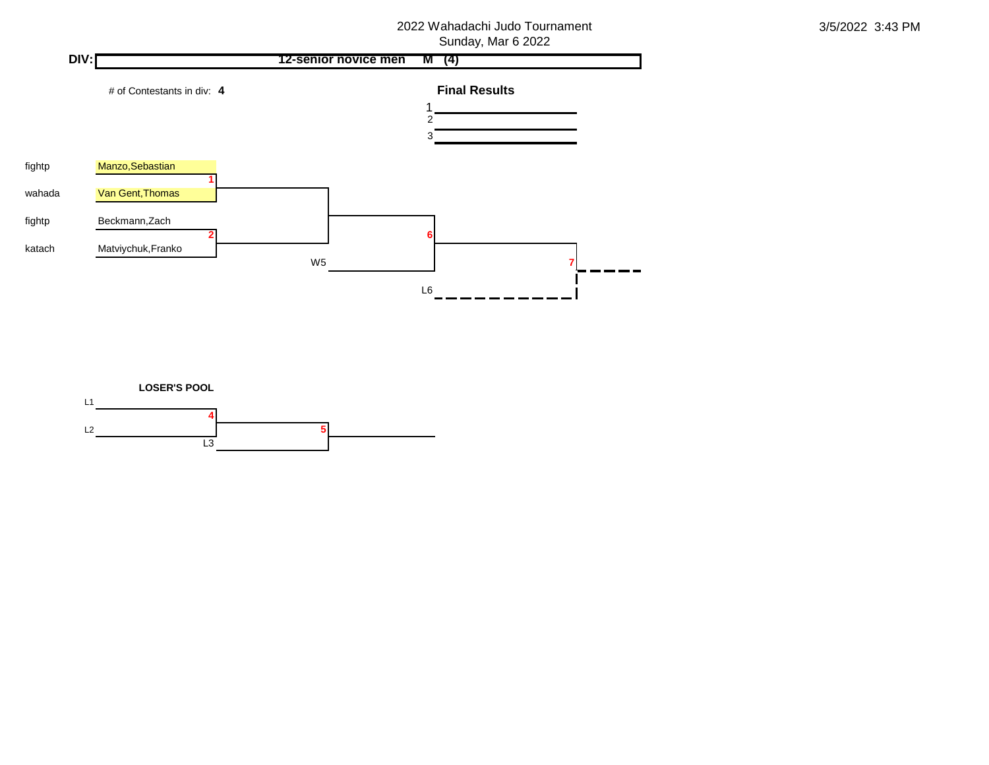

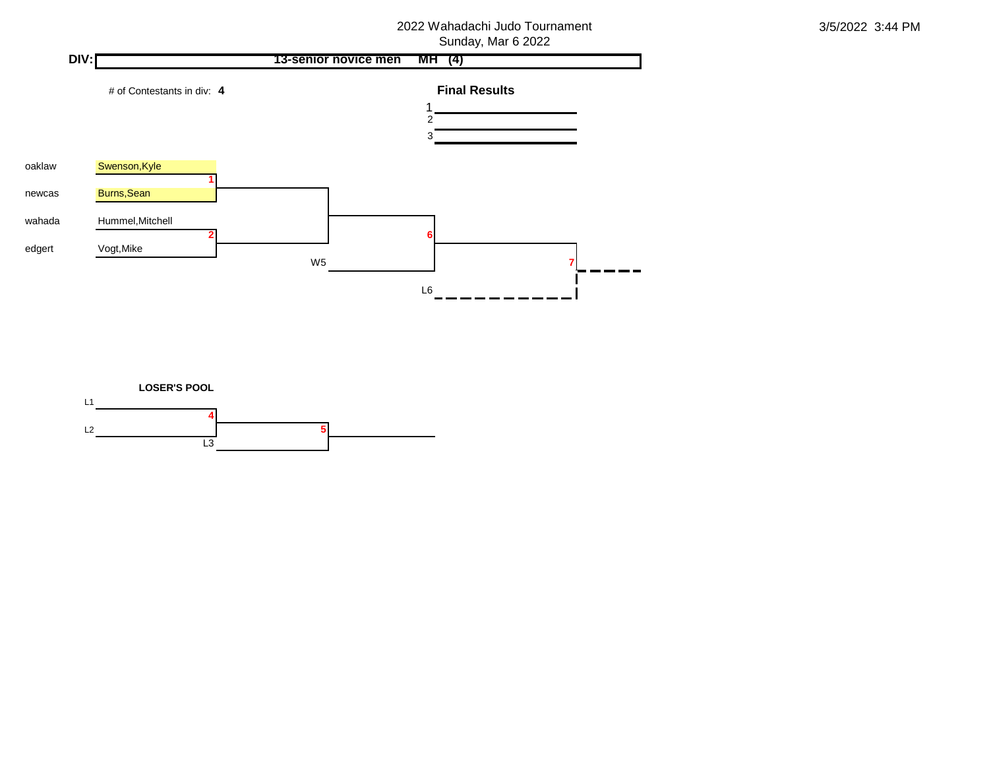

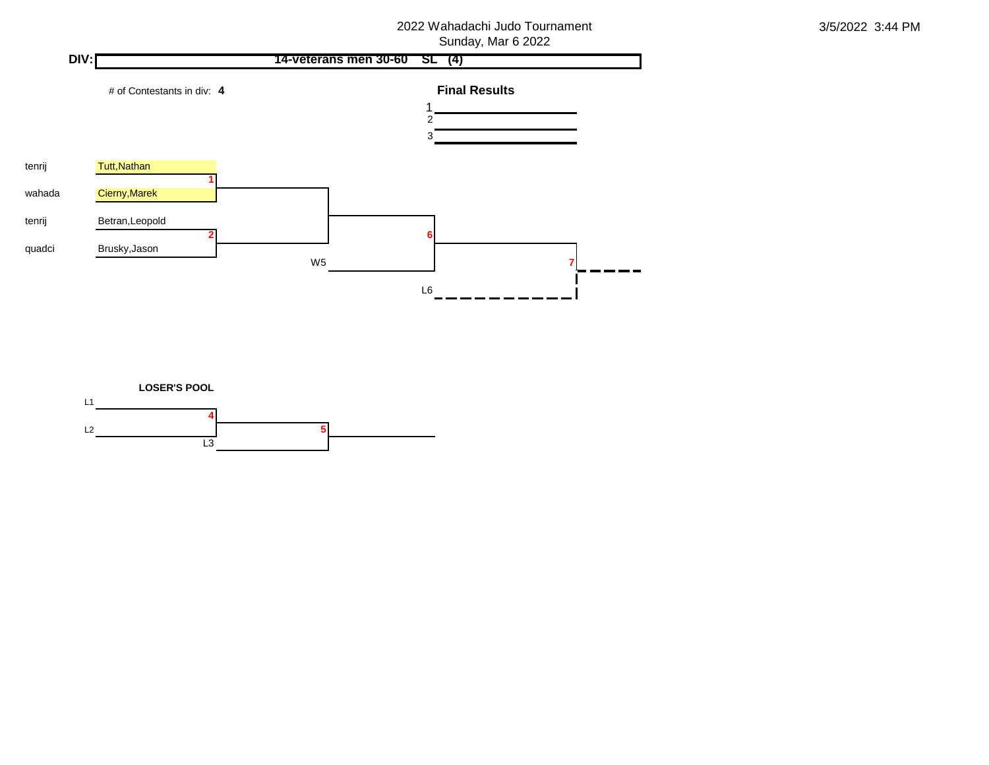

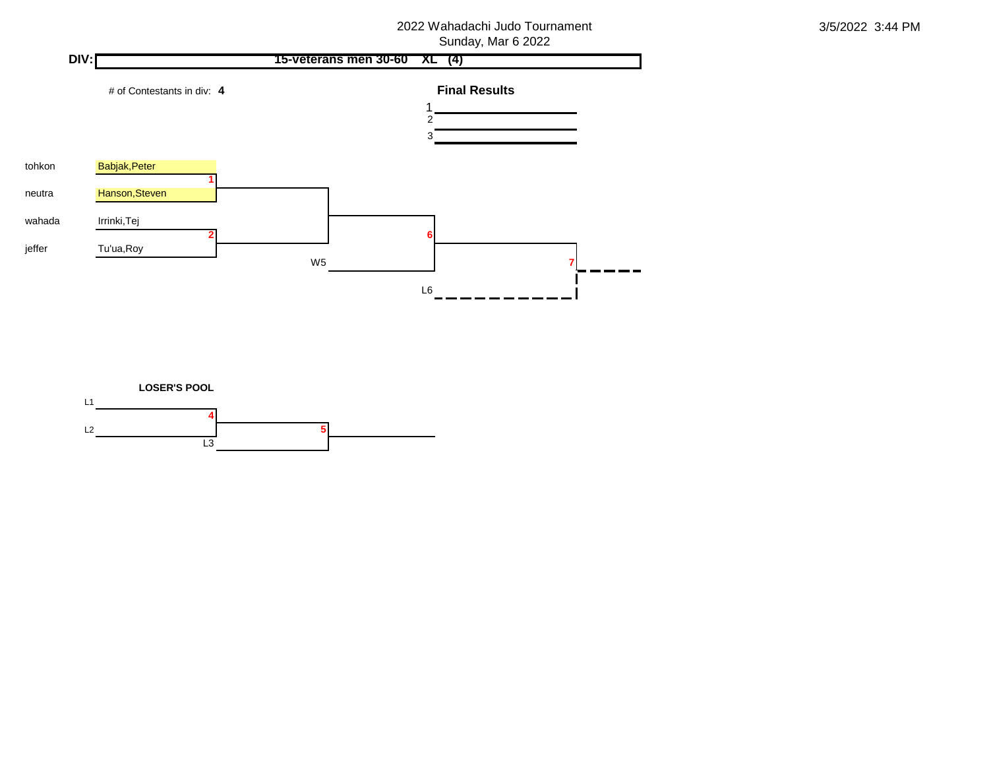

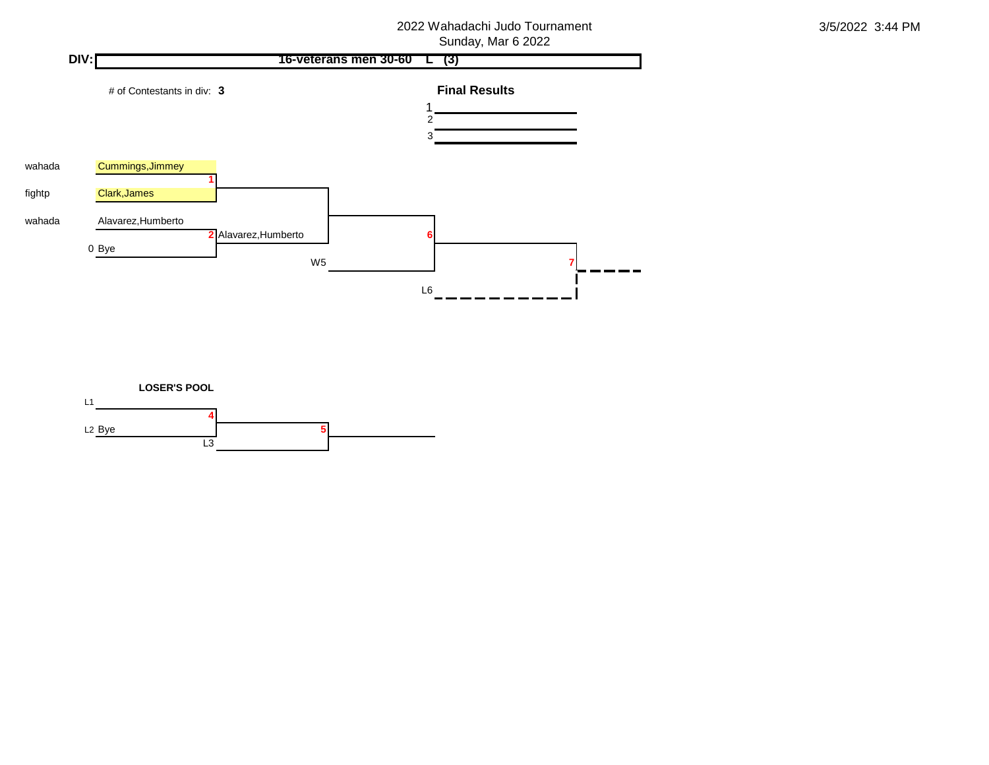